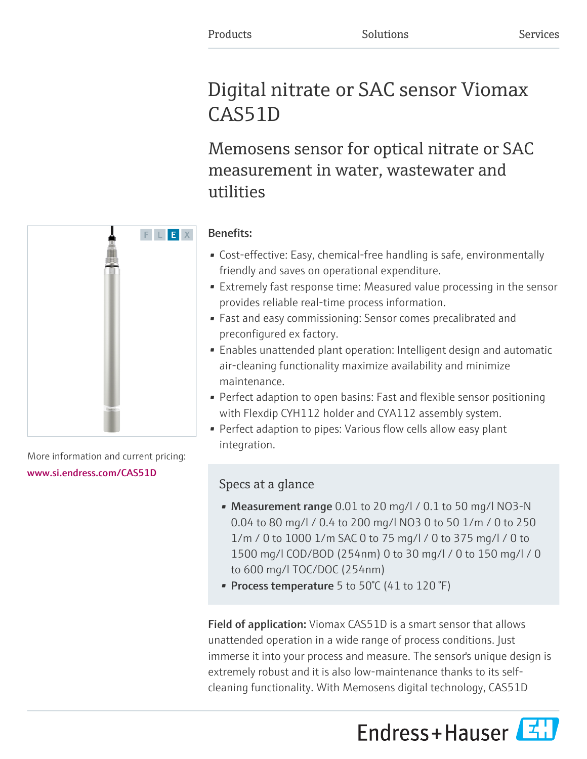# Digital nitrate or SAC sensor Viomax CAS51D

Memosens sensor for optical nitrate or SAC measurement in water, wastewater and utilities

# F L E X

More information and current pricing: [www.si.endress.com/CAS51D](https://www.si.endress.com/CAS51D)

# Benefits:

- Cost-effective: Easy, chemical-free handling is safe, environmentally friendly and saves on operational expenditure.
- Extremely fast response time: Measured value processing in the sensor provides reliable real-time process information.
- Fast and easy commissioning: Sensor comes precalibrated and preconfigured ex factory.
- Enables unattended plant operation: Intelligent design and automatic air-cleaning functionality maximize availability and minimize maintenance.
- Perfect adaption to open basins: Fast and flexible sensor positioning with Flexdip CYH112 holder and CYA112 assembly system.
- Perfect adaption to pipes: Various flow cells allow easy plant integration.

# Specs at a glance

- Measurement range 0.01 to 20 mg/l / 0.1 to 50 mg/l NO3-N 0.04 to 80 mg/l / 0.4 to 200 mg/l NO3 0 to 50 1/m / 0 to 250 1/m / 0 to 1000 1/m SAC 0 to 75 mg/l / 0 to 375 mg/l / 0 to 1500 mg/l COD/BOD (254nm) 0 to 30 mg/l / 0 to 150 mg/l / 0 to 600 mg/l TOC/DOC (254nm)
- Process temperature 5 to 50 $^{\circ}$ C (41 to 120 $^{\circ}$ F)

Field of application: Viomax CAS51D is a smart sensor that allows unattended operation in a wide range of process conditions. Just immerse it into your process and measure. The sensor's unique design is extremely robust and it is also low-maintenance thanks to its selfcleaning functionality. With Memosens digital technology, CAS51D

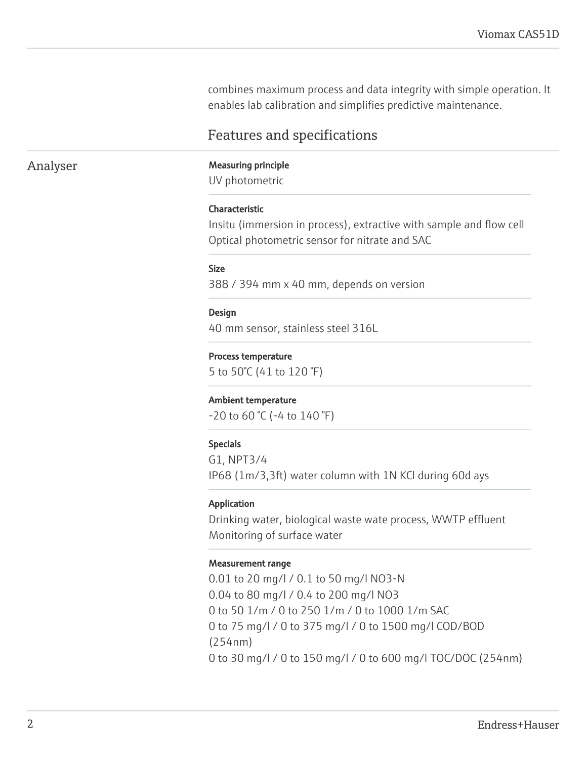combines maximum process and data integrity with simple operation. It enables lab calibration and simplifies predictive maintenance.

# Features and specifications

## Analyser Measuring principle

UV photometric

### Characteristic

Insitu (immersion in process), extractive with sample and flow cell Optical photometric sensor for nitrate and SAC

### Size

388 / 394 mm x 40 mm, depends on version

### Design

40 mm sensor, stainless steel 316L

### Process temperature

5 to 50°C (41 to 120 °F)

### Ambient temperature

-20 to 60 °C (-4 to 140 °F)

### Specials

G1, NPT3/4 IP68 (1m/3,3ft) water column with 1N KCl during 60d ays

### Application

Drinking water, biological waste wate process, WWTP effluent Monitoring of surface water

### Measurement range

0.01 to 20 mg/l / 0.1 to 50 mg/l NO3-N 0.04 to 80 mg/l / 0.4 to 200 mg/l NO3 0 to 50 1/m / 0 to 250 1/m / 0 to 1000 1/m SAC 0 to 75 mg/l / 0 to 375 mg/l / 0 to 1500 mg/l COD/BOD (254nm) 0 to 30 mg/l / 0 to 150 mg/l / 0 to 600 mg/l TOC/DOC (254nm)